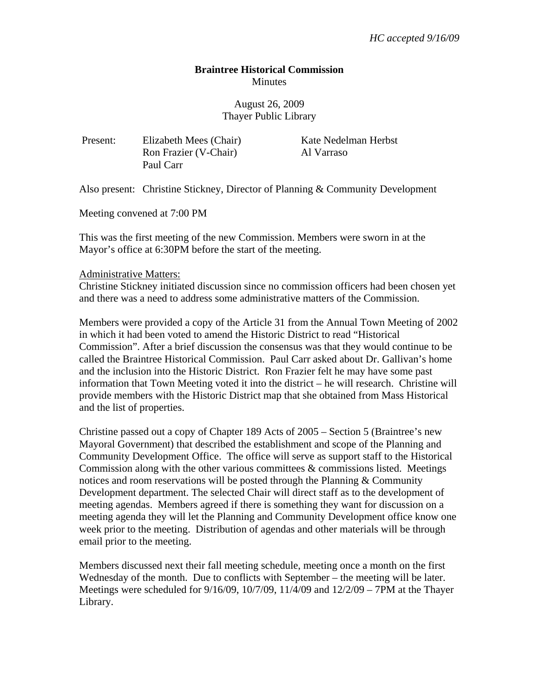# **Braintree Historical Commission Minutes**

August 26, 2009 Thayer Public Library

Present: Elizabeth Mees (Chair) Kate Nedelman Herbst Ron Frazier (V-Chair) Al Varraso Paul Carr

Also present: Christine Stickney, Director of Planning & Community Development

Meeting convened at 7:00 PM

This was the first meeting of the new Commission. Members were sworn in at the Mayor's office at 6:30PM before the start of the meeting.

#### Administrative Matters:

Christine Stickney initiated discussion since no commission officers had been chosen yet and there was a need to address some administrative matters of the Commission.

Members were provided a copy of the Article 31 from the Annual Town Meeting of 2002 in which it had been voted to amend the Historic District to read "Historical Commission". After a brief discussion the consensus was that they would continue to be called the Braintree Historical Commission. Paul Carr asked about Dr. Gallivan's home and the inclusion into the Historic District. Ron Frazier felt he may have some past information that Town Meeting voted it into the district – he will research. Christine will provide members with the Historic District map that she obtained from Mass Historical and the list of properties.

Christine passed out a copy of Chapter 189 Acts of 2005 – Section 5 (Braintree's new Mayoral Government) that described the establishment and scope of the Planning and Community Development Office. The office will serve as support staff to the Historical Commission along with the other various committees  $\&$  commissions listed. Meetings notices and room reservations will be posted through the Planning & Community Development department. The selected Chair will direct staff as to the development of meeting agendas. Members agreed if there is something they want for discussion on a meeting agenda they will let the Planning and Community Development office know one week prior to the meeting. Distribution of agendas and other materials will be through email prior to the meeting.

Members discussed next their fall meeting schedule, meeting once a month on the first Wednesday of the month. Due to conflicts with September – the meeting will be later. Meetings were scheduled for 9/16/09, 10/7/09, 11/4/09 and 12/2/09 – 7PM at the Thayer Library.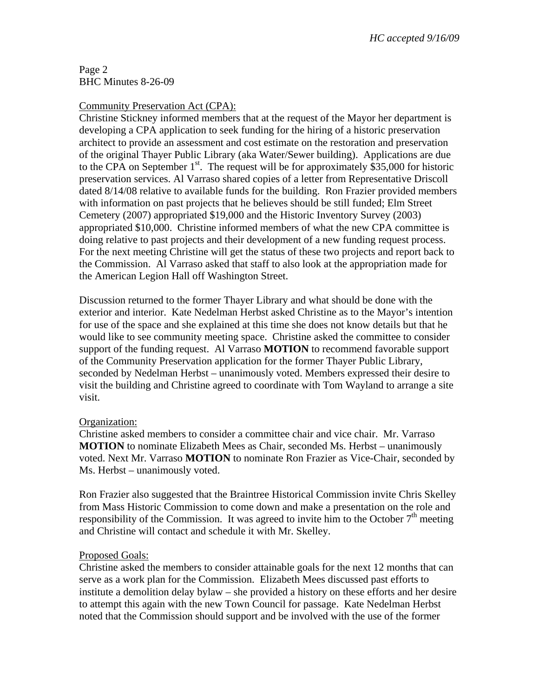# Page 2 BHC Minutes 8-26-09

# Community Preservation Act (CPA):

Christine Stickney informed members that at the request of the Mayor her department is developing a CPA application to seek funding for the hiring of a historic preservation architect to provide an assessment and cost estimate on the restoration and preservation of the original Thayer Public Library (aka Water/Sewer building). Applications are due to the CPA on September  $1<sup>st</sup>$ . The request will be for approximately \$35,000 for historic preservation services. Al Varraso shared copies of a letter from Representative Driscoll dated 8/14/08 relative to available funds for the building. Ron Frazier provided members with information on past projects that he believes should be still funded; Elm Street Cemetery (2007) appropriated \$19,000 and the Historic Inventory Survey (2003) appropriated \$10,000. Christine informed members of what the new CPA committee is doing relative to past projects and their development of a new funding request process. For the next meeting Christine will get the status of these two projects and report back to the Commission. Al Varraso asked that staff to also look at the appropriation made for the American Legion Hall off Washington Street.

Discussion returned to the former Thayer Library and what should be done with the exterior and interior. Kate Nedelman Herbst asked Christine as to the Mayor's intention for use of the space and she explained at this time she does not know details but that he would like to see community meeting space. Christine asked the committee to consider support of the funding request. Al Varraso **MOTION** to recommend favorable support of the Community Preservation application for the former Thayer Public Library, seconded by Nedelman Herbst – unanimously voted. Members expressed their desire to visit the building and Christine agreed to coordinate with Tom Wayland to arrange a site visit.

## Organization:

Christine asked members to consider a committee chair and vice chair. Mr. Varraso **MOTION** to nominate Elizabeth Mees as Chair, seconded Ms. Herbst – unanimously voted. Next Mr. Varraso **MOTION** to nominate Ron Frazier as Vice-Chair, seconded by Ms. Herbst – unanimously voted.

Ron Frazier also suggested that the Braintree Historical Commission invite Chris Skelley from Mass Historic Commission to come down and make a presentation on the role and responsibility of the Commission. It was agreed to invite him to the October  $7<sup>th</sup>$  meeting and Christine will contact and schedule it with Mr. Skelley.

## Proposed Goals:

Christine asked the members to consider attainable goals for the next 12 months that can serve as a work plan for the Commission. Elizabeth Mees discussed past efforts to institute a demolition delay bylaw – she provided a history on these efforts and her desire to attempt this again with the new Town Council for passage. Kate Nedelman Herbst noted that the Commission should support and be involved with the use of the former